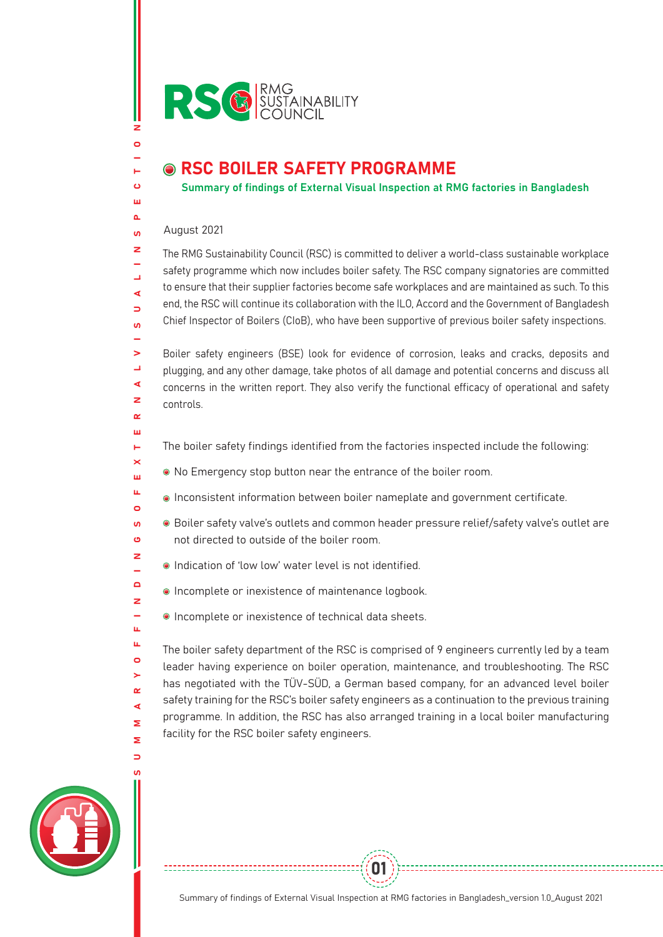

## **O RSC BOILER SAFETY PROGRAMME**

Summary of findings of External Visual Inspection at RMG factories in Bangladesh

## August 2021

z  $\bullet$ 

н  $\ddot{\mathbf{c}}$ ш  $\sim$  $\mathbf{u}$  $\overline{z}$ 

ب ∢  $\Rightarrow$  $\mathbf{u}$ 

 $\alpha$ ш Ē.  $\times$ ш u.  $\bullet$  $\overline{10}$  $\ddot{\mathbf{c}}$  $\overline{z}$  $\equiv$  $\blacksquare$  $\overline{z}$  $\overline{\phantom{0}}$ ш, u.  $\bullet$  $\geq$  $\alpha$ ∢  $\overline{\mathbf{z}}$  $\overline{\mathbf{z}}$  $\Box$ 

The RMG Sustainability Council (RSC) is committed to deliver a world-class sustainable workplace safety programme which now includes boiler safety. The RSC company signatories are committed to ensure that their supplier factories become safe workplaces and are maintained as such. To this end, the RSC will continue its collaboration with the ILO, Accord and the Government of Bangladesh Chief Inspector of Boilers (CIoB), who have been supportive of previous boiler safety inspections.

S U M M A R Y O F F I N D I N G S O F E X T E R N A L V I S U A L I N S P E C T I O N  $\mathbf{S}$ Boiler safety engineers (BSE) look for evidence of corrosion, leaks and cracks, deposits and  $\Box$ plugging, and any other damage, take photos of all damage and potential concerns and discuss all  $\blacktriangleleft$ concerns in the written report. They also verify the functional efficacy of operational and safety  $\rightarrow$ controls.

- The boiler safety findings identified from the factories inspected include the following:
- No Emergency stop button near the entrance of the boiler room.
- Inconsistent information between boiler nameplate and government certificate.
- Boiler safety valve's outlets and common header pressure relief/safety valve's outlet are not directed to outside of the boiler room.
- Indication of 'low low' water level is not identified.
- **Incomplete or inexistence of maintenance logbook.**
- Incomplete or inexistence of technical data sheets.

The boiler safety department of the RSC is comprised of 9 engineers currently led by a team leader having experience on boiler operation, maintenance, and troubleshooting. The RSC has negotiated with the TÜV-SÜD, a German based company, for an advanced level boiler safety training for the RSC's boiler safety engineers as a continuation to the previous training programme. In addition, the RSC has also arranged training in a local boiler manufacturing facility for the RSC boiler safety engineers.



-----------------------------------

01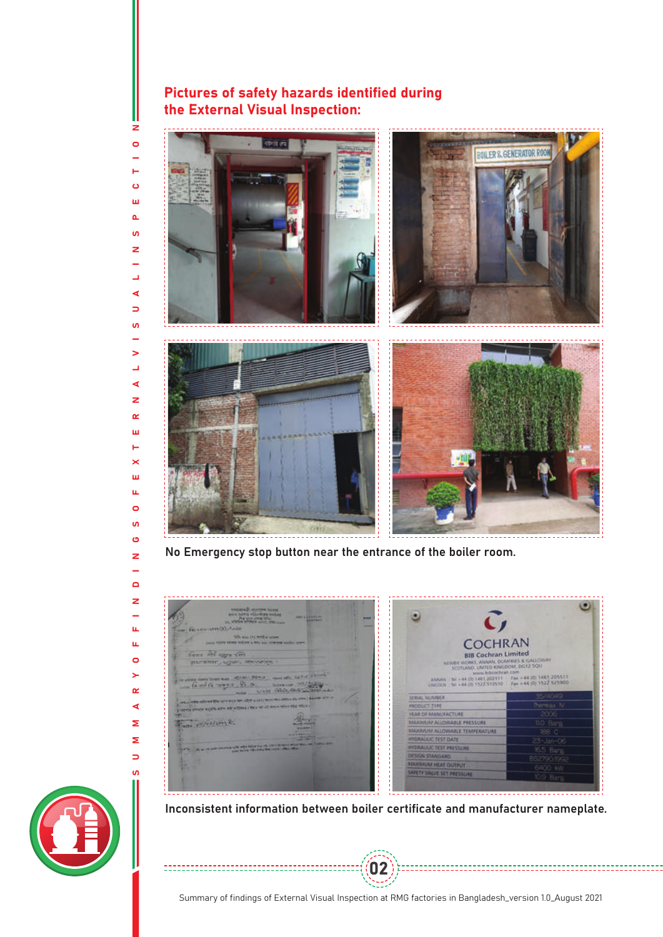## Pictures of safety hazards identified during the External Visual Inspection:



No Emergency stop button near the entrance of the boiler room.





02



S U M M A R Y O F F I N D I N G S O F E X T E R N A L V I S U A L I N S P E C T I O N

u.

u.

 $\circ$ 

>

 $\alpha$ 

∢

Σ

Σ

 $\overline{\phantom{0}}$ 

 $\mathbf{u}$ 

----------------------

z  $\bullet$ 

н  $\ddot{\mathbf{o}}$ Ш  $\Delta$ **u** z

Ľ, ∢  $\Rightarrow$  $\mathbf{u}$ L.  $\geq$ L, ∢  $\overline{z}$  $\alpha$ Ш Ë  $\times$ ш  $\mathbf{u}$  $\circ$ **S** Ő z L.  $\Box$  $\overline{z}$